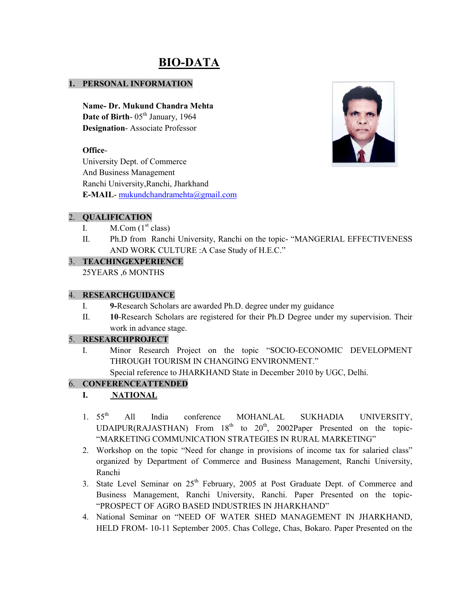# BIO-DATA

#### 1. PERSONAL INFORMATION

Name- Dr. Mukund Chandra Mehta Date of Birth-  $05<sup>th</sup>$  January, 1964 Designation- Associate Professor

#### Office-

University Dept. of Commerce And Business Management Ranchi University,Ranchi, Jharkhand E-MAIL- mukundchandramehta@gmail.com

#### 2. QUALIFICATION

- I.  $M_{\cdot}$  Com (1<sup>st</sup> class)
- II. Ph.D from Ranchi University, Ranchi on the topic- "MANGERIAL EFFECTIVENESS AND WORK CULTURE :A Case Study of H.E.C."

#### 3. TEACHINGEXPERIENCE

25YEARS ,6 MONTHS

#### 4. RESEARCHGUIDANCE

- I. 9-Research Scholars are awarded Ph.D. degree under my guidance
- II. 10-Research Scholars are registered for their Ph.D Degree under my supervision. Their work in advance stage.

## 5. RESEARCHPROJECT

I. Minor Research Project on the topic "SOCIO-ECONOMIC DEVELOPMENT THROUGH TOURISM IN CHANGING ENVIRONMENT." Special reference to JHARKHAND State in December 2010 by UGC, Delhi.

## 6. CONFERENCEATTENDED

# I. NATIONAL

- 1. 55<sup>th</sup> All India conference MOHANLAL SUKHADIA UNIVERSITY, UDAIPUR(RAJASTHAN) From 18<sup>th</sup> to 20<sup>th</sup>, 2002Paper Presented on the topic-"MARKETING COMMUNICATION STRATEGIES IN RURAL MARKETING"
- 2. Workshop on the topic "Need for change in provisions of income tax for salaried class" organized by Department of Commerce and Business Management, Ranchi University, Ranchi
- 3. State Level Seminar on  $25<sup>th</sup>$  February, 2005 at Post Graduate Dept. of Commerce and Business Management, Ranchi University, Ranchi. Paper Presented on the topic- "PROSPECT OF AGRO BASED INDUSTRIES IN JHARKHAND"
- 4. National Seminar on "NEED OF WATER SHED MANAGEMENT IN JHARKHAND, HELD FROM- 10-11 September 2005. Chas College, Chas, Bokaro. Paper Presented on the

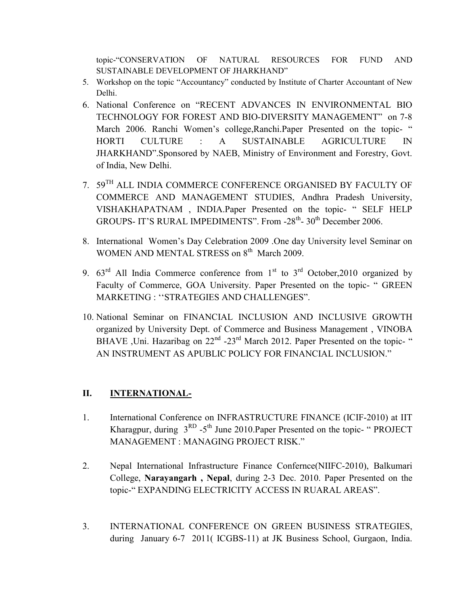topic-"CONSERVATION OF NATURAL RESOURCES FOR FUND AND SUSTAINABLE DEVELOPMENT OF JHARKHAND"

- 5. Workshop on the topic "Accountancy" conducted by Institute of Charter Accountant of New Delhi.
- 6. National Conference on "RECENT ADVANCES IN ENVIRONMENTAL BIO TECHNOLOGY FOR FOREST AND BIO-DIVERSITY MANAGEMENT" on 7-8 March 2006. Ranchi Women's college, Ranchi. Paper Presented on the topic- " HORTI CULTURE : A SUSTAINABLE AGRICULTURE IN JHARKHAND".Sponsored by NAEB, Ministry of Environment and Forestry, Govt. of India, New Delhi.
- 7.  $59^{\mathrm{TH}}$  ALL INDIA COMMERCE CONFERENCE ORGANISED BY FACULTY OF COMMERCE AND MANAGEMENT STUDIES, Andhra Pradesh University, VISHAKHAPATNAM , INDIA.Paper Presented on the topic- " SELF HELP GROUPS- IT'S RURAL IMPEDIMENTS". From -28<sup>th</sup>- 30<sup>th</sup> December 2006.
- 8. International Women's Day Celebration 2009 .One day University level Seminar on WOMEN AND MENTAL STRESS on 8<sup>th</sup> March 2009.
- 9.  $63<sup>rd</sup>$  All India Commerce conference from 1<sup>st</sup> to 3<sup>rd</sup> October, 2010 organized by Faculty of Commerce, GOA University. Paper Presented on the topic- " GREEN MARKETING : ''STRATEGIES AND CHALLENGES".
- 10. National Seminar on FINANCIAL INCLUSION AND INCLUSIVE GROWTH organized by University Dept. of Commerce and Business Management , VINOBA BHAVE ,Uni. Hazaribag on 22<sup>nd</sup> -23<sup>rd</sup> March 2012. Paper Presented on the topic- " AN INSTRUMENT AS APUBLIC POLICY FOR FINANCIAL INCLUSION."

# II. **INTERNATIONAL-**

- 1. International Conference on INFRASTRUCTURE FINANCE (ICIF-2010) at IIT Kharagpur, during  $3^{RD}$  -5<sup>th</sup> June 2010. Paper Presented on the topic- " PROJECT MANAGEMENT : MANAGING PROJECT RISK."
- 2. Nepal International Infrastructure Finance Confernce(NIIFC-2010), Balkumari College, Narayangarh , Nepal, during 2-3 Dec. 2010. Paper Presented on the topic-" EXPANDING ELECTRICITY ACCESS IN RUARAL AREAS".
- 3. INTERNATIONAL CONFERENCE ON GREEN BUSINESS STRATEGIES, during January 6-7 2011( ICGBS-11) at JK Business School, Gurgaon, India.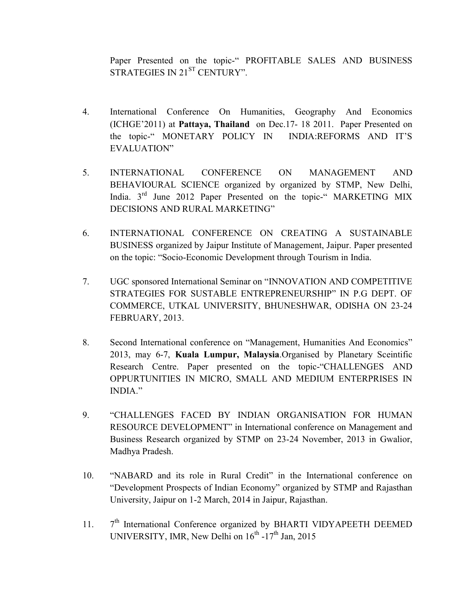Paper Presented on the topic-" PROFITABLE SALES AND BUSINESS STRATEGIES IN 21<sup>ST</sup> CENTURY".

- 4. International Conference On Humanities, Geography And Economics (ICHGE'2011) at Pattaya, Thailand on Dec.17- 18 2011. Paper Presented on the topic-" MONETARY POLICY IN INDIA:REFORMS AND IT'S EVALUATION"
- 5. INTERNATIONAL CONFERENCE ON MANAGEMENT AND BEHAVIOURAL SCIENCE organized by organized by STMP, New Delhi, India. 3<sup>rd</sup> June 2012 Paper Presented on the topic-" MARKETING MIX DECISIONS AND RURAL MARKETING"
- 6. INTERNATIONAL CONFERENCE ON CREATING A SUSTAINABLE BUSINESS organized by Jaipur Institute of Management, Jaipur. Paper presented on the topic: "Socio-Economic Development through Tourism in India.
- 7. UGC sponsored International Seminar on "INNOVATION AND COMPETITIVE STRATEGIES FOR SUSTABLE ENTREPRENEURSHIP" IN P.G DEPT. OF COMMERCE, UTKAL UNIVERSITY, BHUNESHWAR, ODISHA ON 23-24 FEBRUARY, 2013.
- 8. Second International conference on "Management, Humanities And Economics" 2013, may 6-7, Kuala Lumpur, Malaysia.Organised by Planetary Sceintific Research Centre. Paper presented on the topic-"CHALLENGES AND OPPURTUNITIES IN MICRO, SMALL AND MEDIUM ENTERPRISES IN INDIA."
- 9. "CHALLENGES FACED BY INDIAN ORGANISATION FOR HUMAN RESOURCE DEVELOPMENT" in International conference on Management and Business Research organized by STMP on 23-24 November, 2013 in Gwalior, Madhya Pradesh.
- 10. "NABARD and its role in Rural Credit" in the International conference on "Development Prospects of Indian Economy" organized by STMP and Rajasthan University, Jaipur on 1-2 March, 2014 in Jaipur, Rajasthan.
- 11. 7  $7<sup>th</sup>$  International Conference organized by BHARTI VIDYAPEETH DEEMED UNIVERSITY, IMR, New Delhi on  $16^{th}$  -17<sup>th</sup> Jan, 2015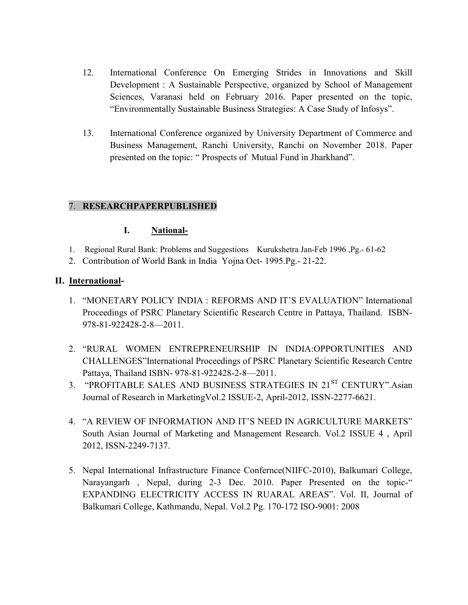- 12. International Conference On Emerging Strides in Innovations and Skill Development : A Sustainable Perspective, organized by School of Management Sciences, Varanasi held on February 2016. Paper presented on the topic, "Environmentally Sustainable Business Strategies: A Case Study of Infosys".
- 13. International Conference organized by University Department of Commerce and Business Management, Ranchi University, Ranchi on November 2018. Paper presented on the topic: " Prospects of Mutual Fund in Jharkhand".

## 7. RESEARCHPAPERPUBLISHED

#### I. National-

- 1. Regional Rural Bank: Problems and Suggestions Kurukshetra Jan-Feb 1996 ,Pg.- 61-62
- 2. Contribution of World Bank in India Yojna Oct- 1995.Pg.- 21-22.

#### II. International-

- 1. "MONETARY POLICY INDIA : REFORMS AND IT'S EVALUATION" International Proceedings of PSRC Planetary Scientific Research Centre in Pattaya, Thailand. ISBN-978-81-922428-2-8—2011.
- 2. "RURAL WOMEN ENTREPRENEURSHIP IN INDIA:OPPORTUNITIES AND CHALLENGES"International Proceedings of PSRC Planetary Scientific Research Centre Pattaya, Thailand ISBN- 978-81-922428-2-8—2011.
- 3. "PROFITABLE SALES AND BUSINESS STRATEGIES IN 21<sup>ST</sup> CENTURY".Asian Journal of Research in MarketingVol.2 ISSUE-2, April-2012, ISSN-2277-6621.
- 4. "A REVIEW OF INFORMATION AND IT'S NEED IN AGRICULTURE MARKETS" South Asian Journal of Marketing and Management Research. Vol.2 ISSUE 4 , April 2012, ISSN-2249-7137.
- 5. Nepal International Infrastructure Finance Confernce(NIIFC-2010), Balkumari College, Narayangarh , Nepal, during 2-3 Dec. 2010. Paper Presented on the topic-" EXPANDING ELECTRICITY ACCESS IN RUARAL AREAS". Vol. II, Journal of Balkumari College, Kathmandu, Nepal. Vol.2 Pg. 170-172 ISO-9001: 2008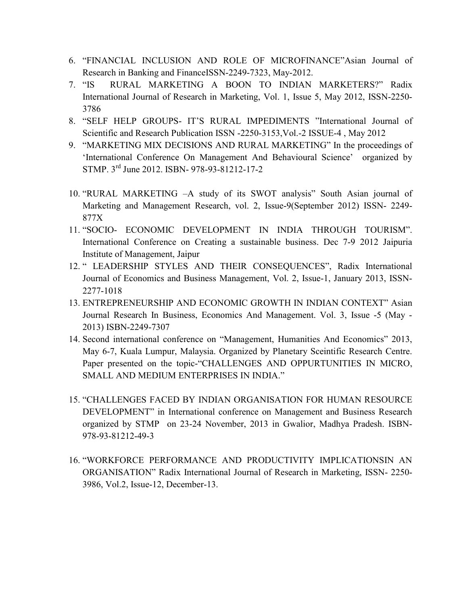- 6. "FINANCIAL INCLUSION AND ROLE OF MICROFINANCE"Asian Journal of Research in Banking and FinanceISSN-2249-7323, May-2012.
- 7. "IS RURAL MARKETING A BOON TO INDIAN MARKETERS?" Radix International Journal of Research in Marketing, Vol. 1, Issue 5, May 2012, ISSN-2250- 3786
- 8. "SELF HELP GROUPS- IT'S RURAL IMPEDIMENTS "International Journal of Scientific and Research Publication ISSN -2250-3153,Vol.-2 ISSUE-4 , May 2012
- 9. "MARKETING MIX DECISIONS AND RURAL MARKETING" In the proceedings of 'International Conference On Management And Behavioural Science' organized by STMP. 3rd June 2012. ISBN- 978-93-81212-17-2
- 10. "RURAL MARKETING –A study of its SWOT analysis" South Asian journal of Marketing and Management Research, vol. 2, Issue-9(September 2012) ISSN- 2249- 877X
- 11. "SOCIO- ECONOMIC DEVELOPMENT IN INDIA THROUGH TOURISM". International Conference on Creating a sustainable business. Dec 7-9 2012 Jaipuria Institute of Management, Jaipur
- 12. " LEADERSHIP STYLES AND THEIR CONSEQUENCES", Radix International Journal of Economics and Business Management, Vol. 2, Issue-1, January 2013, ISSN-2277-1018
- 13. ENTREPRENEURSHIP AND ECONOMIC GROWTH IN INDIAN CONTEXT" Asian Journal Research In Business, Economics And Management. Vol. 3, Issue -5 (May - 2013) ISBN-2249-7307
- 14. Second international conference on "Management, Humanities And Economics" 2013, May 6-7, Kuala Lumpur, Malaysia. Organized by Planetary Sceintific Research Centre. Paper presented on the topic-"CHALLENGES AND OPPURTUNITIES IN MICRO, SMALL AND MEDIUM ENTERPRISES IN INDIA."
- 15. "CHALLENGES FACED BY INDIAN ORGANISATION FOR HUMAN RESOURCE DEVELOPMENT" in International conference on Management and Business Research organized by STMP on 23-24 November, 2013 in Gwalior, Madhya Pradesh. ISBN-978-93-81212-49-3
- 16. "WORKFORCE PERFORMANCE AND PRODUCTIVITY IMPLICATIONSIN AN ORGANISATION" Radix International Journal of Research in Marketing, ISSN- 2250- 3986, Vol.2, Issue-12, December-13.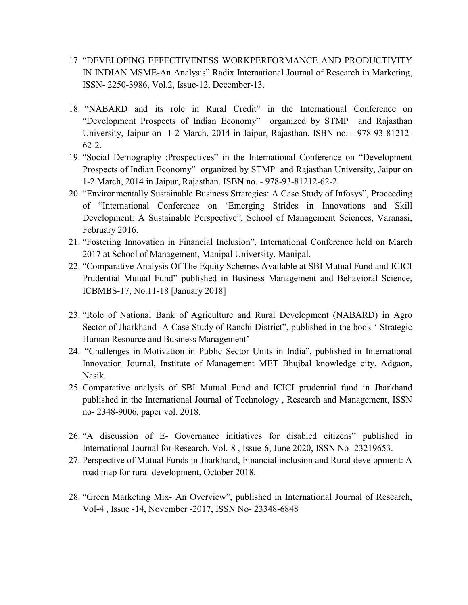- 17. "DEVELOPING EFFECTIVENESS WORKPERFORMANCE AND PRODUCTIVITY IN INDIAN MSME-An Analysis" Radix International Journal of Research in Marketing, ISSN- 2250-3986, Vol.2, Issue-12, December-13.
- 18. "NABARD and its role in Rural Credit" in the International Conference on "Development Prospects of Indian Economy" organized by STMP and Rajasthan University, Jaipur on 1-2 March, 2014 in Jaipur, Rajasthan. ISBN no. - 978-93-81212- 62-2.
- 19. "Social Demography :Prospectives" in the International Conference on "Development Prospects of Indian Economy" organized by STMP and Rajasthan University, Jaipur on 1-2 March, 2014 in Jaipur, Rajasthan. ISBN no. - 978-93-81212-62-2.
- 20. "Environmentally Sustainable Business Strategies: A Case Study of Infosys", Proceeding of "International Conference on 'Emerging Strides in Innovations and Skill Development: A Sustainable Perspective", School of Management Sciences, Varanasi, February 2016.
- 21. "Fostering Innovation in Financial Inclusion", International Conference held on March 2017 at School of Management, Manipal University, Manipal.
- 22. "Comparative Analysis Of The Equity Schemes Available at SBI Mutual Fund and ICICI Prudential Mutual Fund" published in Business Management and Behavioral Science, ICBMBS-17, No.11-18 [January 2018]
- 23. "Role of National Bank of Agriculture and Rural Development (NABARD) in Agro Sector of Jharkhand- A Case Study of Ranchi District", published in the book ' Strategic Human Resource and Business Management'
- 24. "Challenges in Motivation in Public Sector Units in India", published in International Innovation Journal, Institute of Management MET Bhujbal knowledge city, Adgaon, Nasik.
- 25. Comparative analysis of SBI Mutual Fund and ICICI prudential fund in Jharkhand published in the International Journal of Technology , Research and Management, ISSN no- 2348-9006, paper vol. 2018.
- 26. "A discussion of E- Governance initiatives for disabled citizens" published in International Journal for Research, Vol.-8 , Issue-6, June 2020, ISSN No- 23219653.
- 27. Perspective of Mutual Funds in Jharkhand, Financial inclusion and Rural development: A road map for rural development, October 2018.
- 28. "Green Marketing Mix- An Overview", published in International Journal of Research, Vol-4 , Issue -14, November -2017, ISSN No- 23348-6848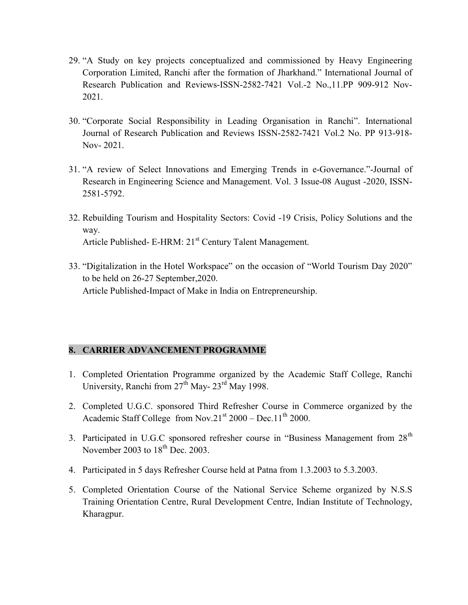- 29. "A Study on key projects conceptualized and commissioned by Heavy Engineering Corporation Limited, Ranchi after the formation of Jharkhand." International Journal of Research Publication and Reviews-ISSN-2582-7421 Vol.-2 No.,11.PP 909-912 Nov-2021.
- 30. "Corporate Social Responsibility in Leading Organisation in Ranchi". International Journal of Research Publication and Reviews ISSN-2582-7421 Vol.2 No. PP 913-918- Nov- 2021.
- 31. "A review of Select Innovations and Emerging Trends in e-Governance."-Journal of Research in Engineering Science and Management. Vol. 3 Issue-08 August -2020, ISSN-2581-5792.
- 32. Rebuilding Tourism and Hospitality Sectors: Covid -19 Crisis, Policy Solutions and the way. Article Published- E-HRM: 21<sup>st</sup> Century Talent Management.
- 33. "Digitalization in the Hotel Workspace" on the occasion of "World Tourism Day 2020" to be held on 26-27 September,2020. Article Published-Impact of Make in India on Entrepreneurship.

# 8. CARRIER ADVANCEMENT PROGRAMME

- 1. Completed Orientation Programme organized by the Academic Staff College, Ranchi University, Ranchi from 27<sup>th</sup> May-23<sup>rd</sup> May 1998.
- 2. Completed U.G.C. sponsored Third Refresher Course in Commerce organized by the Academic Staff College from Nov.21<sup>st</sup> 2000 – Dec.11<sup>th</sup> 2000.
- 3. Participated in U.G.C sponsored refresher course in "Business Management from  $28<sup>th</sup>$ November 2003 to  $18<sup>th</sup>$  Dec. 2003.
- 4. Participated in 5 days Refresher Course held at Patna from 1.3.2003 to 5.3.2003.
- 5. Completed Orientation Course of the National Service Scheme organized by N.S.S Training Orientation Centre, Rural Development Centre, Indian Institute of Technology, Kharagpur.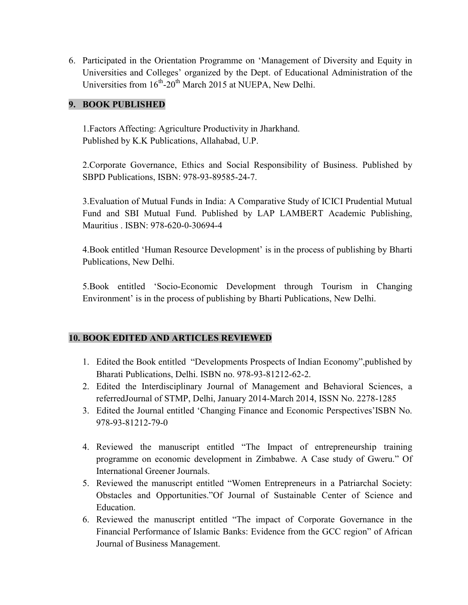6. Participated in the Orientation Programme on 'Management of Diversity and Equity in Universities and Colleges' organized by the Dept. of Educational Administration of the Universities from  $16^{th}$ -20<sup>th</sup> March 2015 at NUEPA, New Delhi.

### 9. BOOK PUBLISHED

1.Factors Affecting: Agriculture Productivity in Jharkhand. Published by K.K Publications, Allahabad, U.P.

2.Corporate Governance, Ethics and Social Responsibility of Business. Published by SBPD Publications, ISBN: 978-93-89585-24-7.

3.Evaluation of Mutual Funds in India: A Comparative Study of ICICI Prudential Mutual Fund and SBI Mutual Fund. Published by LAP LAMBERT Academic Publishing, Mauritius . ISBN: 978-620-0-30694-4

4.Book entitled 'Human Resource Development' is in the process of publishing by Bharti Publications, New Delhi.

5.Book entitled 'Socio-Economic Development through Tourism in Changing Environment' is in the process of publishing by Bharti Publications, New Delhi.

# 10. BOOK EDITED AND ARTICLES REVIEWED

- 1. Edited the Book entitled "Developments Prospects of Indian Economy",published by Bharati Publications, Delhi. ISBN no. 978-93-81212-62-2.
- 2. Edited the Interdisciplinary Journal of Management and Behavioral Sciences, a referredJournal of STMP, Delhi, January 2014-March 2014, ISSN No. 2278-1285
- 3. Edited the Journal entitled 'Changing Finance and Economic Perspectives'ISBN No. 978-93-81212-79-0
- 4. Reviewed the manuscript entitled "The Impact of entrepreneurship training programme on economic development in Zimbabwe. A Case study of Gweru." Of International Greener Journals.
- 5. Reviewed the manuscript entitled "Women Entrepreneurs in a Patriarchal Society: Obstacles and Opportunities."Of Journal of Sustainable Center of Science and Education.
- 6. Reviewed the manuscript entitled "The impact of Corporate Governance in the Financial Performance of Islamic Banks: Evidence from the GCC region" of African Journal of Business Management.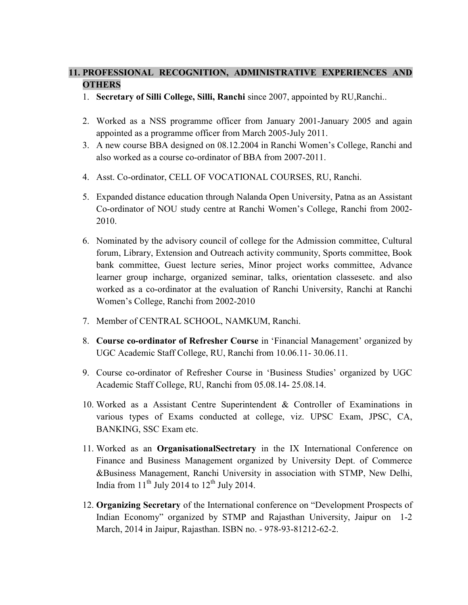## 11. PROFESSIONAL RECOGNITION, ADMINISTRATIVE EXPERIENCES AND **OTHERS**

- 1. Secretary of Silli College, Silli, Ranchi since 2007, appointed by RU,Ranchi..
- 2. Worked as a NSS programme officer from January 2001-January 2005 and again appointed as a programme officer from March 2005-July 2011.
- 3. A new course BBA designed on 08.12.2004 in Ranchi Women's College, Ranchi and also worked as a course co-ordinator of BBA from 2007-2011.
- 4. Asst. Co-ordinator, CELL OF VOCATIONAL COURSES, RU, Ranchi.
- 5. Expanded distance education through Nalanda Open University, Patna as an Assistant Co-ordinator of NOU study centre at Ranchi Women's College, Ranchi from 2002- 2010.
- 6. Nominated by the advisory council of college for the Admission committee, Cultural forum, Library, Extension and Outreach activity community, Sports committee, Book bank committee, Guest lecture series, Minor project works committee, Advance learner group incharge, organized seminar, talks, orientation classesetc. and also worked as a co-ordinator at the evaluation of Ranchi University, Ranchi at Ranchi Women's College, Ranchi from 2002-2010
- 7. Member of CENTRAL SCHOOL, NAMKUM, Ranchi.
- 8. Course co-ordinator of Refresher Course in 'Financial Management' organized by UGC Academic Staff College, RU, Ranchi from 10.06.11- 30.06.11.
- 9. Course co-ordinator of Refresher Course in 'Business Studies' organized by UGC Academic Staff College, RU, Ranchi from 05.08.14- 25.08.14.
- 10. Worked as a Assistant Centre Superintendent & Controller of Examinations in various types of Exams conducted at college, viz. UPSC Exam, JPSC, CA, BANKING, SSC Exam etc.
- 11. Worked as an OrganisationalSectretary in the IX International Conference on Finance and Business Management organized by University Dept. of Commerce &Business Management, Ranchi University in association with STMP, New Delhi, India from  $11^{th}$  July 2014 to  $12^{th}$  July 2014.
- 12. Organizing Secretary of the International conference on "Development Prospects of Indian Economy" organized by STMP and Rajasthan University, Jaipur on 1-2 March, 2014 in Jaipur, Rajasthan. ISBN no. - 978-93-81212-62-2.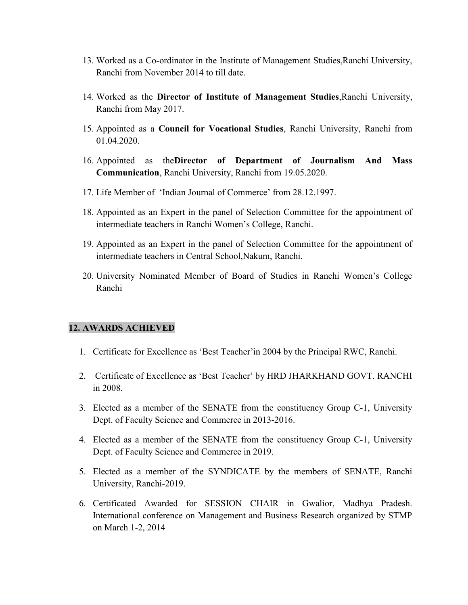- 13. Worked as a Co-ordinator in the Institute of Management Studies,Ranchi University, Ranchi from November 2014 to till date.
- 14. Worked as the Director of Institute of Management Studies,Ranchi University, Ranchi from May 2017.
- 15. Appointed as a Council for Vocational Studies, Ranchi University, Ranchi from 01.04.2020.
- 16. Appointed as theDirector of Department of Journalism And Mass Communication, Ranchi University, Ranchi from 19.05.2020.
- 17. Life Member of 'Indian Journal of Commerce' from 28.12.1997.
- 18. Appointed as an Expert in the panel of Selection Committee for the appointment of intermediate teachers in Ranchi Women's College, Ranchi.
- 19. Appointed as an Expert in the panel of Selection Committee for the appointment of intermediate teachers in Central School,Nakum, Ranchi.
- 20. University Nominated Member of Board of Studies in Ranchi Women's College Ranchi

#### 12. AWARDS ACHIEVED

- 1. Certificate for Excellence as 'Best Teacher'in 2004 by the Principal RWC, Ranchi.
- 2. Certificate of Excellence as 'Best Teacher' by HRD JHARKHAND GOVT. RANCHI in 2008.
- 3. Elected as a member of the SENATE from the constituency Group C-1, University Dept. of Faculty Science and Commerce in 2013-2016.
- 4. Elected as a member of the SENATE from the constituency Group C-1, University Dept. of Faculty Science and Commerce in 2019.
- 5. Elected as a member of the SYNDICATE by the members of SENATE, Ranchi University, Ranchi-2019.
- 6. Certificated Awarded for SESSION CHAIR in Gwalior, Madhya Pradesh. International conference on Management and Business Research organized by STMP on March 1-2, 2014